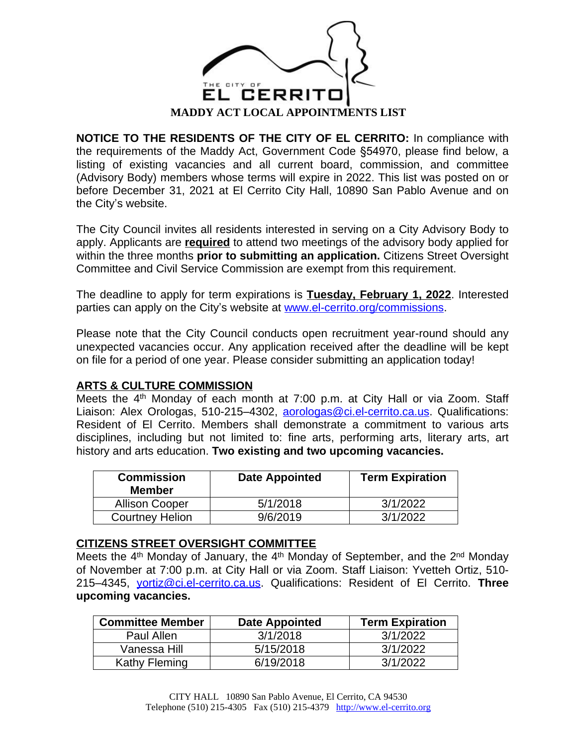

**[NOTICE](http://www.el-cerrito.org) TO THE [RESIDENTS](http://www.el-cerrito.org) [OF](http://www.el-cerrito.org) THE [CITY](http://www.el-cerrito.org) OF EL [CERRITO:](http://www.el-cerrito.org)** In [compliance](http://www.el-cerrito.org) with the [requirements](http://www.el-cerrito.org) of the Maddy Act, [Government](http://www.el-cerrito.org) Code §54970, please find [below,](http://www.el-cerrito.org) [a](http://www.el-cerrito.org) [listing](http://www.el-cerrito.org) [of](http://www.el-cerrito.org) existing [vacancies](http://www.el-cerrito.org) and all [current](http://www.el-cerrito.org) board[,](http://www.el-cerrito.org) [commission,](http://www.el-cerrito.org) and [committee](http://www.el-cerrito.org) [\(Advisory](http://www.el-cerrito.org) Body) [members](http://www.el-cerrito.org) whose [terms](http://www.el-cerrito.org) wil[l](http://www.el-cerrito.org) [expire](http://www.el-cerrito.org) [in](http://www.el-cerrito.org) [2022.](http://www.el-cerrito.org) [This](http://www.el-cerrito.org) list was [posted](http://www.el-cerrito.org) on or before [December](http://www.el-cerrito.org) [3](http://www.el-cerrito.org)1, [2021](http://www.el-cerrito.org) at El [Cerrito](http://www.el-cerrito.org) City Hall, 10[890](http://www.el-cerrito.org) San Pablo [Avenue](http://www.el-cerrito.org) [and](http://www.el-cerrito.org) [on](http://www.el-cerrito.org) the City'[s website.](http://www.el-cerrito.org)

[The](http://www.el-cerrito.org) City [Counc](http://www.el-cerrito.org)il invites all residents [interested](http://www.el-cerrito.org) in serving on a City [Advi](http://www.el-cerrito.org)sory [Body](http://www.el-cerrito.org) [to](http://www.el-cerrito.org) [apply.](http://www.el-cerrito.org) [Applicants](http://www.el-cerrito.org) are **[required](http://www.el-cerrito.org)** to attend two [meetings](http://www.el-cerrito.org) of the advisory body applied for within the three [months](http://www.el-cerrito.org) **prior to submitting an [application.](http://www.el-cerrito.org)** [Citi](http://www.el-cerrito.org)zens Street [Oversight](http://www.el-cerrito.org) [Committee and Civil Service Commission are exempt from this requirement.](http://www.el-cerrito.org) 

[The](http://www.el-cerrito.org) [deadline](http://www.el-cerrito.org) [to](http://www.el-cerrito.org) [apply](http://www.el-cerrito.org) for [term](http://www.el-cerrito.org) ex[pirations](http://www.el-cerrito.org) [is](http://www.el-cerrito.org) **[Tuesday, February 1, 2022](http://www.el-cerrito.org)**. [Interested](http://www.el-cerrito.org) [parties can apply on the City](http://www.el-cerrito.org)['](http://www.el-cerrito.org)[s website at](http://www.el-cerrito.org) [www.el-cerrito.org/commissions.](http://www.el-cerrito.org/commissions)

[Please](http://www.el-cerrito.org/commissions) note [that](http://www.el-cerrito.org/commissions) [the](http://www.el-cerrito.org/commissions) [C](http://www.el-cerrito.org/commissions)ity [Council](http://www.el-cerrito.org/commissions) [conducts](http://www.el-cerrito.org/commissions) open recruitm[ent](http://www.el-cerrito.org/commissions) [year-round](http://www.el-cerrito.org/commissions) [should](http://www.el-cerrito.org/commissions) any [unexpecte](http://www.el-cerrito.org/commissions)d [vacancies](http://www.el-cerrito.org/commissions) [occur.](http://www.el-cerrito.org/commissions) [A](http://www.el-cerrito.org/commissions)ny [application](http://www.el-cerrito.org/commissions) received after the [deadline](http://www.el-cerrito.org/commissions) will be kept [on file for a period of one year.](http://www.el-cerrito.org/commissions) [Please consider submitting an application today!](http://www.el-cerrito.org/commissions)

## **[ARTS & CULTURE COMMISSION](http://www.el-cerrito.org/commissions)**

[Mee](http://www.el-cerrito.org/commissions)ts [the](http://www.el-cerrito.org/commissions) [4](http://www.el-cerrito.org/commissions)<sup>[th](http://www.el-cerrito.org/commissions)</sup> [Monday](http://www.el-cerrito.org/commissions) of each [month](http://www.el-cerrito.org/commissions) at [7:00](http://www.el-cerrito.org/commissions) [p.m.](http://www.el-cerrito.org/commissions) at City Hall or via [Zoom.](http://www.el-cerrito.org/commissions) [Staff](http://www.el-cerrito.org/commissions) [Liaison:](http://www.el-cerrito.org/commissions) [Alex](http://www.el-cerrito.org/commissions) [Orologas,](http://www.el-cerrito.org/commissions) [510-215](http://www.el-cerrito.org/commissions)-[4302,](http://www.el-cerrito.org/commissions) **aorologas@ci.el-cerrito.ca.us**. Qualifications: Resident of El Cerrito. Members shall demonstrate a commitment to various arts disciplines, including but not limited to: fine arts, performing arts, literary arts, art history and arts education. **Two existing and two upcoming vacancies.**

| <b>Commission</b><br><b>Member</b> | <b>Date Appointed</b> | <b>Term Expiration</b> |
|------------------------------------|-----------------------|------------------------|
| <b>Allison Cooper</b>              | 5/1/2018              | 3/1/2022               |
| <b>Courtney Helion</b>             | 9/6/2019              | 3/1/2022               |

#### **CITIZENS STREET OVERSIGHT COMMITTEE**

Meets the 4<sup>th</sup> Monday of January, the 4<sup>th</sup> Monday of September, and the 2<sup>nd</sup> Monday of November at 7:00 p.m. at City Hall or via Zoom. Staff Liaison: Yvetteh Ortiz, 510- 215–4345, [yortiz@ci.el-cerrito.ca.us.](mailto:yortiz@ci.el-cerrito.ca.us) Qualifications: Resident of El Cerrito. **Three upcoming vacancies.**

| <b>Committee Member</b> | <b>Date Appointed</b> | <b>Term Expiration</b> |
|-------------------------|-----------------------|------------------------|
| Paul Allen              | 3/1/2018              | 3/1/2022               |
| Vanessa Hill            | 5/15/2018             | 3/1/2022               |
| Kathy Fleming           | 6/19/2018             | 3/1/2022               |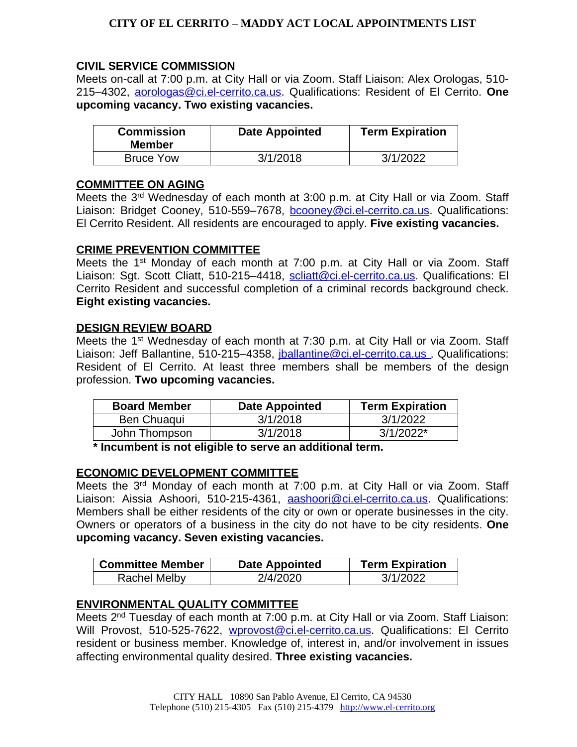# **CITY OF EL CERRITO – MADDY ACT LOCAL APPOINTMENTS LIST**

# **[CIVIL SERVICE COMMISSION](http://www.el-cerrito.org)**

[Meets](http://www.el-cerrito.org) on-[call](http://www.el-cerrito.org) [at](http://www.el-cerrito.org) [7](http://www.el-cerrito.org):00 [p.m.](http://www.el-cerrito.org) at [City](http://www.el-cerrito.org) Ha[ll](http://www.el-cerrito.org) or [via](http://www.el-cerrito.org) [Zoom.](http://www.el-cerrito.org) [S](http://www.el-cerrito.org)taff [Liaison:](http://www.el-cerrito.org) [Alex](http://www.el-cerrito.org) [Orologas,](http://www.el-cerrito.org) [510-](http://www.el-cerrito.org) [215](http://www.el-cerrito.org)[–](http://www.el-cerrito.org)[4302,](http://www.el-cerrito.org) [aorologas@ci.el-cerrito.ca.us.](mailto:aorologas@ci.el-cerrito.ca.us) Qualifications: Resident of El Cerrito. **One upcoming vacancy. Two existing vacancies.**

| <b>Commission</b><br><b>Member</b> | <b>Date Appointed</b> | <b>Term Expiration</b> |
|------------------------------------|-----------------------|------------------------|
| <b>Bruce Yow</b>                   | 3/1/2018              | 3/1/2022               |

#### **COMMITTEE ON AGING**

Meets the 3<sup>rd</sup> Wednesday of each month at 3:00 p.m. at City Hall or via Zoom. Staff Liaison: Bridget Cooney, 510-559–7678, [bcooney@ci.el-cerrito.ca.us.](mailto:bcooney@ci.el-cerrito.ca.us) Qualifications: El Cerrito Resident. All residents are encouraged to apply. **Five existing vacancies.**

#### **CRIME PREVENTION COMMITTEE**

Meets the 1<sup>st</sup> Monday of each month at 7:00 p.m. at City Hall or via Zoom. Staff Liaison: Sgt. Scott Cliatt, 510-215-4418, [scliatt@ci.el-cerrito.ca.us.](mailto::scliatt@ci.el-cerrito.ca.us) Qualifications: El Cerrito Resident and successful completion of a criminal records background check. **Eight existing vacancies.**

#### **DESIGN REVIEW BOARD**

Meets the 1<sup>st</sup> Wednesday of each month at 7:30 p.m. at City Hall or via Zoom. Staff Liaison: Jeff Ballantine, 510-215-4358, *jballantine@ci.el-cerrito.ca.us.* Qualifications: Resident of El Cerrito. At least three members shall be members of the design profession. **Two upcoming vacancies.**

| <b>Board Member</b> | Date Appointed | <b>Term Expiration</b> |
|---------------------|----------------|------------------------|
| Ben Chuaqui         | 3/1/2018       | 3/1/2022               |
| John Thompson       | 3/1/2018       | $3/1/2022*$            |

**\* Incumbent is not eligible to serve an additional term.**

## **ECONOMIC DEVELOPMENT COMMITTEE**

Meets the 3<sup>rd</sup> Monday of each month at 7:00 p.m. at City Hall or via Zoom. Staff Liaison: Aissia Ashoori, 510-215-4361, [aashoori@ci.el-cerrito.ca.us](mailto:aashoori@ci.el-cerrito.ca.us). Qualifications: Members shall be either residents of the city or own or operate businesses in the city. Owners or operators of a business in the city do not have to be city residents. **One upcoming vacancy. Seven existing vacancies.**

| <b>Committee Member</b> | Date Appointed | <b>Term Expiration</b> |
|-------------------------|----------------|------------------------|
| <b>Rachel Melby</b>     | 2/4/2020       | 3/1/2022               |

## **ENVIRONMENTAL QUALITY COMMITTEE**

Meets 2<sup>nd</sup> Tuesday of each month at 7:00 p.m. at City Hall or via Zoom. Staff Liaison: Will Provost, 510-525-7622, [wprovost@ci.el-cerrito.ca.us.](mailto:wprovost@ci.el-cerrito.ca.us) Qualifications: El Cerrito resident or business member. Knowledge of, interest in, and/or involvement in issues affecting environmental quality desired. **Three existing vacancies.**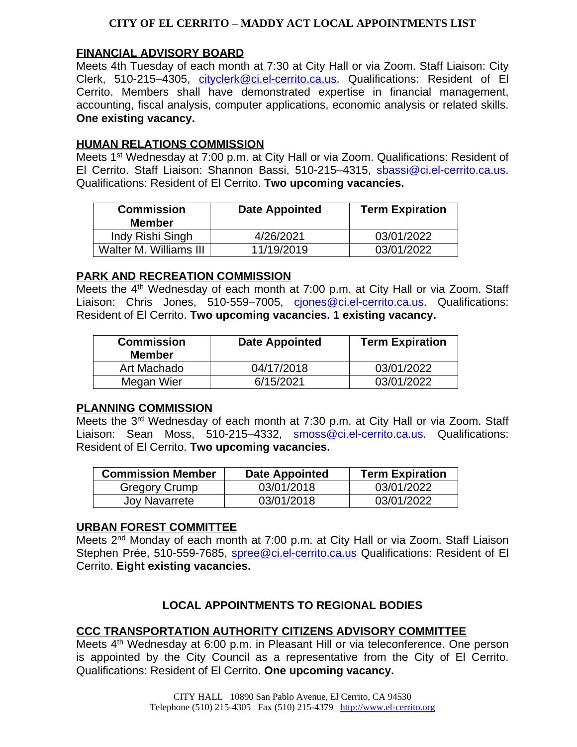## **CITY OF EL CERRITO – MADDY ACT LOCAL APPOINTMENTS LIST**

### **[FINANCIAL ADVISORY BOARD](http://www.el-cerrito.org)**

[Meets](http://www.el-cerrito.org) [4th](http://www.el-cerrito.org) [Tuesday](http://www.el-cerrito.org) of [ea](http://www.el-cerrito.org)ch [month](http://www.el-cerrito.org) [at](http://www.el-cerrito.org) 7[:30](http://www.el-cerrito.org) at [City](http://www.el-cerrito.org) [Hall](http://www.el-cerrito.org) or via [Zoom.](http://www.el-cerrito.org) [Staff](http://www.el-cerrito.org) [Liaison:](http://www.el-cerrito.org) [City](http://www.el-cerrito.org) [Clerk,](http://www.el-cerrito.org) [510-215](http://www.el-cerrito.org)-[4305,](http://www.el-cerrito.org) [cityclerk@ci.el-cerrito.ca.us](mailto:cityclerk@ci.el-cerrito.ca.us). Qualifications: Resident of El Cerrito. Members shall have demonstrated expertise in financial management, accounting, fiscal analysis, computer applications, economic analysis or related skills. **One existing vacancy.**

### **HUMAN RELATIONS COMMISSION**

Meets 1<sup>st</sup> Wednesday at 7:00 p.m. at City Hall or via Zoom. Qualifications: Resident of El Cerrito. Staff Liaison: Shannon Bassi, 510-215–4315, [sbassi@ci.el-cerrito.ca.us.](mailto:sbassi@ci.el-cerrito.ca.us) Qualifications: Resident of El Cerrito. **Two upcoming vacancies.**

| <b>Commission</b><br><b>Member</b> | <b>Date Appointed</b> | <b>Term Expiration</b> |
|------------------------------------|-----------------------|------------------------|
| Indy Rishi Singh                   | 4/26/2021             | 03/01/2022             |
| Walter M. Williams III             | 11/19/2019            | 03/01/2022             |

#### **PARK AND RECREATION COMMISSION**

Meets the 4<sup>th</sup> Wednesday of each month at 7:00 p.m. at City Hall or via Zoom. Staff Liaison: Chris Jones, 510-559–7005, ciones@ci.el-cerrito.ca.us. Qualifications: Resident of El Cerrito. **Two upcoming vacancies. 1 existing vacancy.**

| <b>Commission</b><br><b>Member</b> | <b>Date Appointed</b> | <b>Term Expiration</b> |
|------------------------------------|-----------------------|------------------------|
| Art Machado                        | 04/17/2018            | 03/01/2022             |
| Megan Wier                         | 6/15/2021             | 03/01/2022             |

## **PLANNING COMMISSION**

Meets the 3<sup>rd</sup> Wednesday of each month at 7:30 p.m. at City Hall or via Zoom. Staff Liaison: Sean Moss, 510-215–4332, [smoss@ci.el-cerrito.ca.us](mailto:smoss@ci.el-cerrito.ca.us). Qualifications: Resident of El Cerrito. **Two upcoming vacancies.**

| <b>Commission Member</b> | <b>Date Appointed</b> | <b>Term Expiration</b> |
|--------------------------|-----------------------|------------------------|
| Gregory Crump            | 03/01/2018            | 03/01/2022             |
| Joy Navarrete            | 03/01/2018            | 03/01/2022             |

#### **URBAN FOREST COMMITTEE**

Meets 2<sup>nd</sup> Monday of each month at 7:00 p.m. at City Hall or via Zoom. Staff Liaison Stephen Prée, 510-559-7685, spree @ci.el-cerrito.ca.us Qualifications: Resident of El Cerrito. **Eight existing vacancies.**

## **LOCAL APPOINTMENTS TO REGIONAL BODIES**

## **CCC TRANSPORTATION AUTHORITY CITIZENS ADVISORY COMMITTEE**

Meets 4<sup>th</sup> Wednesday at 6:00 p.m. in Pleasant Hill or via teleconference. One person is appointed by the City Council as a representative from the City of El Cerrito. Qualifications: Resident of El Cerrito. **One upcoming vacancy.**